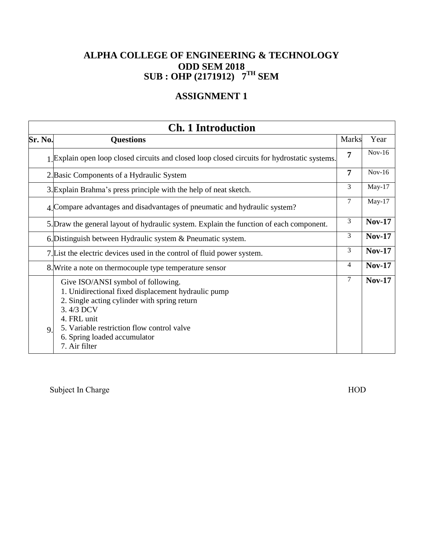## **ASSIGNMENT 1**

|         | <b>Ch. 1 Introduction</b>                                                                                                                                                                                                                                            |                |               |
|---------|----------------------------------------------------------------------------------------------------------------------------------------------------------------------------------------------------------------------------------------------------------------------|----------------|---------------|
| Sr. No. | <b>Questions</b>                                                                                                                                                                                                                                                     | <b>Marks</b>   | Year          |
|         | 1 Explain open loop closed circuits and closed loop closed circuits for hydrostatic systems.                                                                                                                                                                         | 7              | $Nov-16$      |
|         | 2. Basic Components of a Hydraulic System                                                                                                                                                                                                                            | 7              | $Nov-16$      |
|         | 3. Explain Brahma's press principle with the help of neat sketch.                                                                                                                                                                                                    | 3              | $May-17$      |
|         | 4. Compare advantages and disadvantages of pneumatic and hydraulic system?                                                                                                                                                                                           | $\overline{7}$ | $May-17$      |
|         | 5. Draw the general layout of hydraulic system. Explain the function of each component.                                                                                                                                                                              | 3              | <b>Nov-17</b> |
|         | 6. Distinguish between Hydraulic system & Pneumatic system.                                                                                                                                                                                                          | 3              | <b>Nov-17</b> |
|         | 7. List the electric devices used in the control of fluid power system.                                                                                                                                                                                              | 3              | <b>Nov-17</b> |
|         | 8. Write a note on thermocouple type temperature sensor                                                                                                                                                                                                              | 4              | <b>Nov-17</b> |
| 9       | Give ISO/ANSI symbol of following.<br>1. Unidirectional fixed displacement hydraulic pump<br>2. Single acting cylinder with spring return<br>3.4/3 DCV<br>4. FRL unit<br>5. Variable restriction flow control valve<br>6. Spring loaded accumulator<br>7. Air filter | 7              | $Nov-17$      |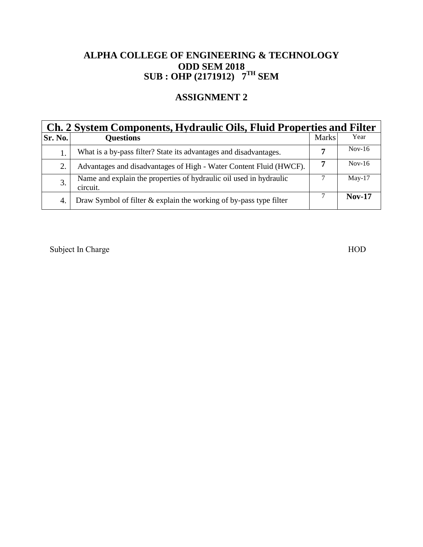## **ASSIGNMENT 2**

| Ch. 2 System Components, Hydraulic Oils, Fluid Properties and Filter |                                                                                |              |          |  |
|----------------------------------------------------------------------|--------------------------------------------------------------------------------|--------------|----------|--|
| Sr. No.                                                              | <b>Questions</b>                                                               | <b>Marks</b> | Year     |  |
|                                                                      | What is a by-pass filter? State its advantages and disadvantages.              |              | $Nov-16$ |  |
| 2.                                                                   | Advantages and disadvantages of High - Water Content Fluid (HWCF).             | 7            | $Nov-16$ |  |
| 3.                                                                   | Name and explain the properties of hydraulic oil used in hydraulic<br>circuit. |              | $Mav-17$ |  |
| 4.                                                                   | Draw Symbol of filter & explain the working of by-pass type filter             |              | $Nov-17$ |  |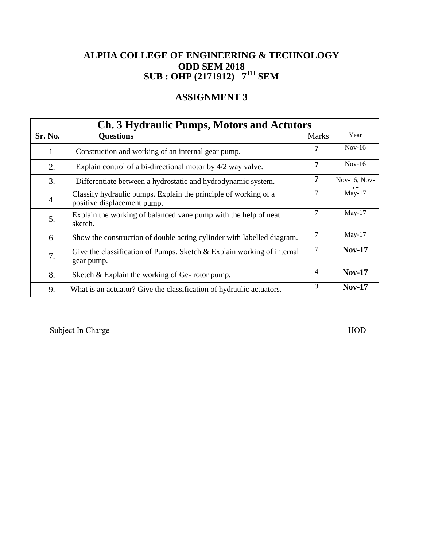## **ASSIGNMENT 3**

| <b>Ch. 3 Hydraulic Pumps, Motors and Actutors</b> |                                                                                                |              |               |  |
|---------------------------------------------------|------------------------------------------------------------------------------------------------|--------------|---------------|--|
| Sr. No.                                           | <b>Questions</b>                                                                               | <b>Marks</b> | Year          |  |
| 1.                                                | Construction and working of an internal gear pump.                                             | 7            | $Nov-16$      |  |
| 2.                                                | Explain control of a bi-directional motor by 4/2 way valve.                                    | 7            | $Nov-16$      |  |
| 3.                                                | Differentiate between a hydrostatic and hydrodynamic system.                                   | 7            | Nov-16, Nov-  |  |
| 4.                                                | Classify hydraulic pumps. Explain the principle of working of a<br>positive displacement pump. | 7            | $May-17$      |  |
| 5.                                                | Explain the working of balanced vane pump with the help of neat<br>sketch.                     | 7            | $May-17$      |  |
| 6.                                                | Show the construction of double acting cylinder with labelled diagram.                         | 7            | $May-17$      |  |
| 7.                                                | Give the classification of Pumps. Sketch $&$ Explain working of internal<br>gear pump.         | 7            | <b>Nov-17</b> |  |
| 8.                                                | Sketch & Explain the working of Ge-rotor pump.                                                 | 4            | <b>Nov-17</b> |  |
| 9.                                                | What is an actuator? Give the classification of hydraulic actuators.                           | 3            | <b>Nov-17</b> |  |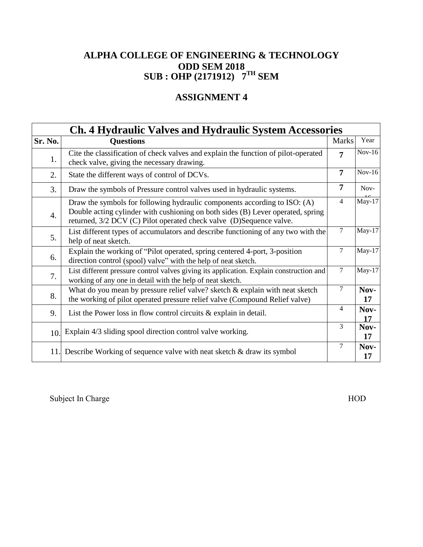# **ASSIGNMENT 4**

|         | <b>Ch. 4 Hydraulic Valves and Hydraulic System Accessories</b>                                                                                                                                                                      |                |            |
|---------|-------------------------------------------------------------------------------------------------------------------------------------------------------------------------------------------------------------------------------------|----------------|------------|
| Sr. No. | <b>Questions</b>                                                                                                                                                                                                                    | <b>Marks</b>   | Year       |
| 1.      | Cite the classification of check valves and explain the function of pilot-operated<br>check valve, giving the necessary drawing.                                                                                                    | $\overline{7}$ | $Nov-16$   |
| 2.      | State the different ways of control of DCVs.                                                                                                                                                                                        | $\overline{7}$ | $Nov-16$   |
| 3.      | Draw the symbols of Pressure control valves used in hydraulic systems.                                                                                                                                                              | 7              | Nov-       |
| 4.      | Draw the symbols for following hydraulic components according to ISO: (A)<br>Double acting cylinder with cushioning on both sides (B) Lever operated, spring<br>returned, 3/2 DCV (C) Pilot operated check valve (D)Sequence valve. | $\overline{4}$ | $May-17$   |
| 5.      | List different types of accumulators and describe functioning of any two with the<br>help of neat sketch.                                                                                                                           | $\overline{7}$ | $May-17$   |
| 6.      | Explain the working of "Pilot operated, spring centered 4-port, 3-position<br>direction control (spool) valve" with the help of neat sketch.                                                                                        | 7              | $May-17$   |
| 7.      | List different pressure control valves giving its application. Explain construction and<br>working of any one in detail with the help of neat sketch.                                                                               | $\tau$         | $May-17$   |
| 8.      | What do you mean by pressure relief valve? sketch $\&$ explain with neat sketch<br>the working of pilot operated pressure relief valve (Compound Relief valve)                                                                      | 7              | Nov-<br>17 |
| 9.      | List the Power loss in flow control circuits $\&$ explain in detail.                                                                                                                                                                | 4              | Nov-<br>17 |
| 10.     | Explain 4/3 sliding spool direction control valve working.                                                                                                                                                                          | 3              | Nov-<br>17 |
|         | 11. Describe Working of sequence valve with neat sketch & draw its symbol                                                                                                                                                           | $\tau$         | Nov-<br>17 |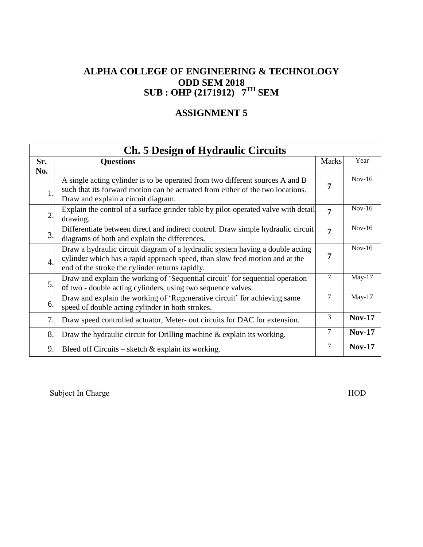## **ASSIGNMENT 5**

| <b>Ch. 5 Design of Hydraulic Circuits</b> |                                                                                                                                                                                                                 |                |               |
|-------------------------------------------|-----------------------------------------------------------------------------------------------------------------------------------------------------------------------------------------------------------------|----------------|---------------|
| Sr.                                       | <b>Questions</b>                                                                                                                                                                                                | <b>Marks</b>   | Year          |
| No.<br>1                                  | A single acting cylinder is to be operated from two different sources A and B<br>such that its forward motion can be actuated from either of the two locations.<br>Draw and explain a circuit diagram.          | 7              | $Nov-16$      |
| 2.                                        | Explain the control of a surface grinder table by pilot-operated valve with detail<br>drawing.                                                                                                                  | $\overline{7}$ | $Nov-16$      |
| 3.                                        | Differentiate between direct and indirect control. Draw simple hydraulic circuit<br>diagrams of both and explain the differences.                                                                               | $\overline{7}$ | $Nov-16$      |
| 4.                                        | Draw a hydraulic circuit diagram of a hydraulic system having a double acting<br>cylinder which has a rapid approach speed, than slow feed motion and at the<br>end of the stroke the cylinder returns rapidly. | 7              | $Nov-16$      |
| 5.                                        | Draw and explain the working of 'Sequential circuit' for sequential operation<br>of two - double acting cylinders, using two sequence valves.                                                                   | 7              | $May-17$      |
| 6.                                        | Draw and explain the working of 'Regenerative circuit' for achieving same<br>speed of double acting cylinder in both strokes.                                                                                   | 7              | $May-17$      |
| 7.                                        | Draw speed controlled actuator, Meter- out circuits for DAC for extension.                                                                                                                                      | 3              | <b>Nov-17</b> |
| 8.                                        | Draw the hydraulic circuit for Drilling machine $\&$ explain its working.                                                                                                                                       | 7              | <b>Nov-17</b> |
| 9.                                        | Bleed off Circuits – sketch $\&$ explain its working.                                                                                                                                                           | 7              | <b>Nov-17</b> |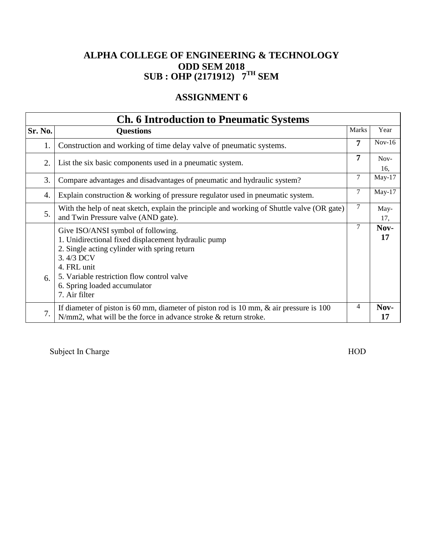# **ASSIGNMENT 6**

| <b>Ch. 6 Introduction to Pneumatic Systems</b> |                                                                                                                                                                                                                                                                      |              |             |
|------------------------------------------------|----------------------------------------------------------------------------------------------------------------------------------------------------------------------------------------------------------------------------------------------------------------------|--------------|-------------|
| Sr. No.                                        | <b>Questions</b>                                                                                                                                                                                                                                                     | <b>Marks</b> | Year        |
| 1.                                             | Construction and working of time delay valve of pneumatic systems.                                                                                                                                                                                                   | 7            | $Nov-16$    |
| 2.                                             | List the six basic components used in a pneumatic system.                                                                                                                                                                                                            | 7            | Nov-<br>16, |
| 3.                                             | Compare advantages and disadvantages of pneumatic and hydraulic system?                                                                                                                                                                                              | 7            | $May-17$    |
| 4.                                             | Explain construction $\&$ working of pressure regulator used in pneumatic system.                                                                                                                                                                                    | $\tau$       | $May-17$    |
| 5.                                             | With the help of neat sketch, explain the principle and working of Shuttle valve (OR gate)<br>and Twin Pressure valve (AND gate).                                                                                                                                    | $\tau$       | May-<br>17, |
| 6.                                             | Give ISO/ANSI symbol of following.<br>1. Unidirectional fixed displacement hydraulic pump<br>2. Single acting cylinder with spring return<br>3.4/3 DCV<br>4. FRL unit<br>5. Variable restriction flow control valve<br>6. Spring loaded accumulator<br>7. Air filter | 7            | Nov-<br>17  |
| 7.                                             | If diameter of piston is 60 mm, diameter of piston rod is 10 mm, $\&$ air pressure is 100<br>$N/mm2$ , what will be the force in advance stroke & return stroke.                                                                                                     | 4            | Nov-<br>17  |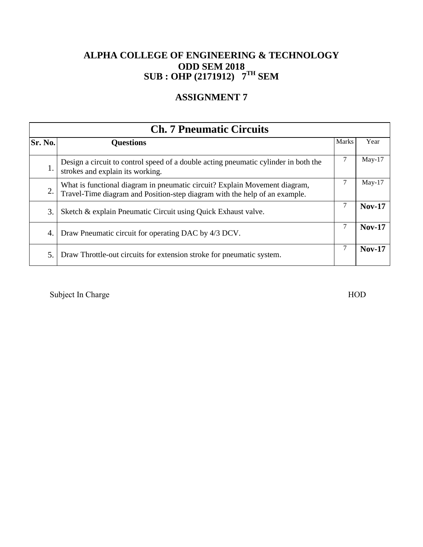## **ASSIGNMENT 7**

|         | <b>Ch. 7 Pneumatic Circuits</b>                                                                                                                          |              |               |  |
|---------|----------------------------------------------------------------------------------------------------------------------------------------------------------|--------------|---------------|--|
| Sr. No. | <b>Questions</b>                                                                                                                                         | <b>Marks</b> | Year          |  |
| 1.      | Design a circuit to control speed of a double acting pneumatic cylinder in both the<br>strokes and explain its working.                                  |              | $May-17$      |  |
| 2.      | What is functional diagram in pneumatic circuit? Explain Movement diagram,<br>Travel-Time diagram and Position-step diagram with the help of an example. |              | $May-17$      |  |
| 3.      | Sketch & explain Pneumatic Circuit using Quick Exhaust valve.                                                                                            |              | <b>Nov-17</b> |  |
| 4.      | Draw Pneumatic circuit for operating DAC by 4/3 DCV.                                                                                                     | 7            | <b>Nov-17</b> |  |
| 5.      | Draw Throttle-out circuits for extension stroke for pneumatic system.                                                                                    |              | <b>Nov-17</b> |  |